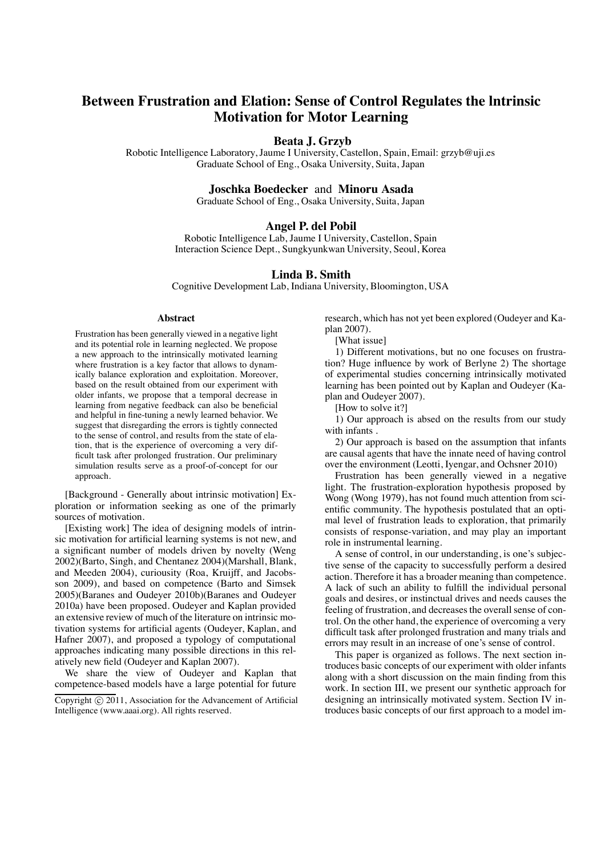# **Between Frustration and Elation: Sense of Control Regulates the lntrinsic Motivation for Motor Learning**

## **Beata J. Grzyb**

Robotic Intelligence Laboratory, Jaume I University, Castellon, Spain, Email: grzyb@uji.es Graduate School of Eng., Osaka University, Suita, Japan

#### **Joschka Boedecker** and **Minoru Asada**

Graduate School of Eng., Osaka University, Suita, Japan

# **Angel P. del Pobil**

Robotic Intelligence Lab, Jaume I University, Castellon, Spain Interaction Science Dept., Sungkyunkwan University, Seoul, Korea

## **Linda B. Smith**

Cognitive Development Lab, Indiana University, Bloomington, USA

#### **Abstract**

Frustration has been generally viewed in a negative light and its potential role in learning neglected. We propose a new approach to the intrinsically motivated learning where frustration is a key factor that allows to dynamically balance exploration and exploitation. Moreover, based on the result obtained from our experiment with older infants, we propose that a temporal decrease in learning from negative feedback can also be beneficial and helpful in fine-tuning a newly learned behavior. We suggest that disregarding the errors is tightly connected to the sense of control, and results from the state of elation, that is the experience of overcoming a very difficult task after prolonged frustration. Our preliminary simulation results serve as a proof-of-concept for our approach.

[Background - Generally about intrinsic motivation] Exploration or information seeking as one of the primarly sources of motivation.

[Existing work] The idea of designing models of intrinsic motivation for artificial learning systems is not new, and a significant number of models driven by novelty (Weng 2002)(Barto, Singh, and Chentanez 2004)(Marshall, Blank, and Meeden 2004), curiousity (Roa, Kruijff, and Jacobsson 2009), and based on competence (Barto and Simsek 2005)(Baranes and Oudeyer 2010b)(Baranes and Oudeyer 2010a) have been proposed. Oudeyer and Kaplan provided an extensive review of much of the literature on intrinsic motivation systems for artificial agents (Oudeyer, Kaplan, and Hafner 2007), and proposed a typology of computational approaches indicating many possible directions in this relatively new field (Oudeyer and Kaplan 2007).

We share the view of Oudeyer and Kaplan that competence-based models have a large potential for future

research, which has not yet been explored (Oudeyer and Kaplan 2007).

[What issue]

1) Different motivations, but no one focuses on frustration? Huge influence by work of Berlyne 2) The shortage of experimental studies concerning intrinsically motivated learning has been pointed out by Kaplan and Oudeyer (Kaplan and Oudeyer 2007).

[How to solve it?]

1) Our approach is absed on the results from our study with infants .

2) Our approach is based on the assumption that infants are causal agents that have the innate need of having control over the environment (Leotti, Iyengar, and Ochsner 2010)

Frustration has been generally viewed in a negative light. The frustration-exploration hypothesis proposed by Wong (Wong 1979), has not found much attention from scientific community. The hypothesis postulated that an optimal level of frustration leads to exploration, that primarily consists of response-variation, and may play an important role in instrumental learning.

A sense of control, in our understanding, is one's subjective sense of the capacity to successfully perform a desired action. Therefore it has a broader meaning than competence. A lack of such an ability to fulfill the individual personal goals and desires, or instinctual drives and needs causes the feeling of frustration, and decreases the overall sense of control. On the other hand, the experience of overcoming a very difficult task after prolonged frustration and many trials and errors may result in an increase of one's sense of control.

This paper is organized as follows. The next section introduces basic concepts of our experiment with older infants along with a short discussion on the main finding from this work. In section III, we present our synthetic approach for designing an intrinsically motivated system. Section IV introduces basic concepts of our first approach to a model im-

Copyright © 2011, Association for the Advancement of Artificial Intelligence (www.aaai.org). All rights reserved.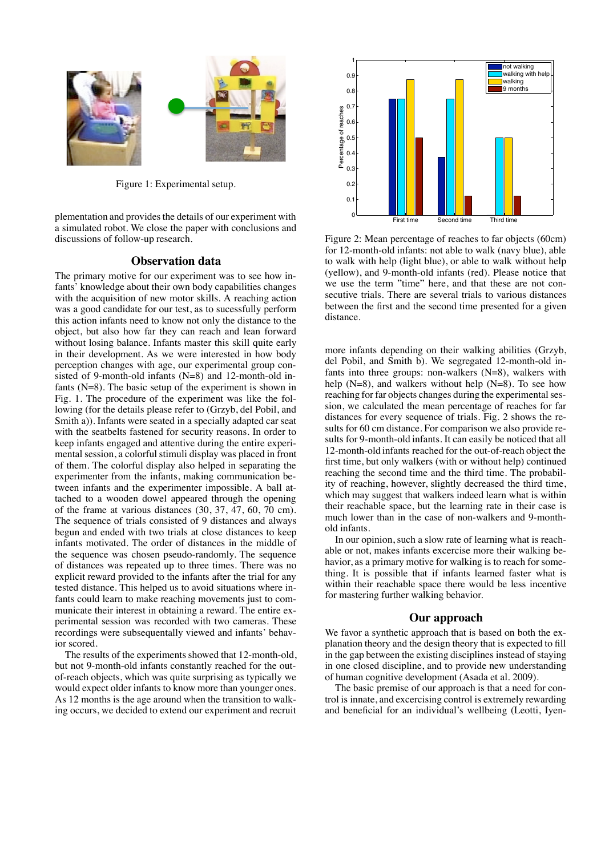

Figure 1: Experimental setup.

plementation and provides the details of our experiment with a simulated robot. We close the paper with conclusions and discussions of follow-up research.

# **Observation data**

The primary motive for our experiment was to see how infants' knowledge about their own body capabilities changes with the acquisition of new motor skills. A reaching action was a good candidate for our test, as to sucessfully perform this action infants need to know not only the distance to the object, but also how far they can reach and lean forward without losing balance. Infants master this skill quite early in their development. As we were interested in how body perception changes with age, our experimental group consisted of 9-month-old infants (N=8) and 12-month-old infants (N=8). The basic setup of the experiment is shown in Fig. 1. The procedure of the experiment was like the following (for the details please refer to (Grzyb, del Pobil, and Smith a)). Infants were seated in a specially adapted car seat with the seatbelts fastened for security reasons. In order to keep infants engaged and attentive during the entire experimental session, a colorful stimuli display was placed in front of them. The colorful display also helped in separating the experimenter from the infants, making communication between infants and the experimenter impossible. A ball attached to a wooden dowel appeared through the opening of the frame at various distances (30, 37, 47, 60, 70 cm). The sequence of trials consisted of 9 distances and always begun and ended with two trials at close distances to keep infants motivated. The order of distances in the middle of the sequence was chosen pseudo-randomly. The sequence of distances was repeated up to three times. There was no explicit reward provided to the infants after the trial for any tested distance. This helped us to avoid situations where infants could learn to make reaching movements just to communicate their interest in obtaining a reward. The entire experimental session was recorded with two cameras. These recordings were subsequentally viewed and infants' behavior scored.

The results of the experiments showed that 12-month-old, but not 9-month-old infants constantly reached for the outof-reach objects, which was quite surprising as typically we would expect older infants to know more than younger ones. As 12 months is the age around when the transition to walking occurs, we decided to extend our experiment and recruit



Figure 2: Mean percentage of reaches to far objects (60cm) for 12-month-old infants: not able to walk (navy blue), able to walk with help (light blue), or able to walk without help (yellow), and 9-month-old infants (red). Please notice that we use the term "time" here, and that these are not consecutive trials. There are several trials to various distances between the first and the second time presented for a given distance.

more infants depending on their walking abilities (Grzyb, del Pobil, and Smith b). We segregated 12-month-old infants into three groups: non-walkers (N=8), walkers with help  $(N=8)$ , and walkers without help  $(N=8)$ . To see how reaching for far objects changes during the experimental session, we calculated the mean percentage of reaches for far distances for every sequence of trials. Fig. 2 shows the results for 60 cm distance. For comparison we also provide results for 9-month-old infants. It can easily be noticed that all 12-month-old infants reached for the out-of-reach object the first time, but only walkers (with or without help) continued reaching the second time and the third time. The probability of reaching, however, slightly decreased the third time, which may suggest that walkers indeed learn what is within their reachable space, but the learning rate in their case is much lower than in the case of non-walkers and 9-monthold infants.

In our opinion, such a slow rate of learning what is reachable or not, makes infants excercise more their walking behavior, as a primary motive for walking is to reach for something. It is possible that if infants learned faster what is within their reachable space there would be less incentive for mastering further walking behavior.

## **Our approach**

We favor a synthetic approach that is based on both the explanation theory and the design theory that is expected to fill in the gap between the existing disciplines instead of staying in one closed discipline, and to provide new understanding of human cognitive development (Asada et al. 2009).

The basic premise of our approach is that a need for control is innate, and excercising control is extremely rewarding and beneficial for an individual's wellbeing (Leotti, Iyen-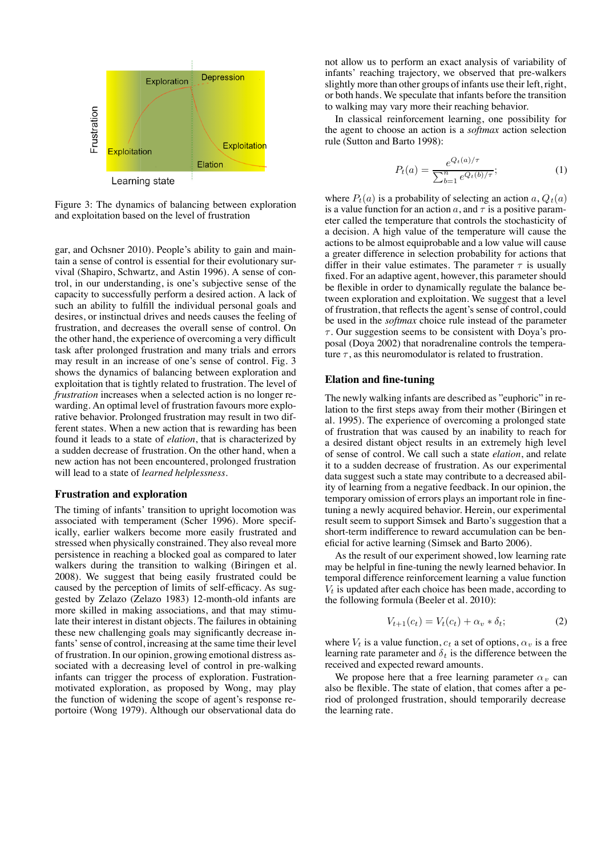

Figure 3: The dynamics of balancing between exploration and exploitation based on the level of frustration

gar, and Ochsner 2010). People's ability to gain and maintain a sense of control is essential for their evolutionary survival (Shapiro, Schwartz, and Astin 1996). A sense of control, in our understanding, is one's subjective sense of the capacity to successfully perform a desired action. A lack of such an ability to fulfill the individual personal goals and desires, or instinctual drives and needs causes the feeling of frustration, and decreases the overall sense of control. On the other hand, the experience of overcoming a very difficult task after prolonged frustration and many trials and errors may result in an increase of one's sense of control. Fig. 3 shows the dynamics of balancing between exploration and exploitation that is tightly related to frustration. The level of *frustration* increases when a selected action is no longer rewarding. An optimal level of frustration favours more explorative behavior. Prolonged frustration may result in two different states. When a new action that is rewarding has been found it leads to a state of *elation*, that is characterized by a sudden decrease of frustration. On the other hand, when a new action has not been encountered, prolonged frustration will lead to a state of *learned helplessness*.

#### **Frustration and exploration**

The timing of infants' transition to upright locomotion was associated with temperament (Scher 1996). More specifically, earlier walkers become more easily frustrated and stressed when physically constrained. They also reveal more persistence in reaching a blocked goal as compared to later walkers during the transition to walking (Biringen et al. 2008). We suggest that being easily frustrated could be caused by the perception of limits of self-efficacy. As suggested by Zelazo (Zelazo 1983) 12-month-old infants are more skilled in making associations, and that may stimulate their interest in distant objects. The failures in obtaining these new challenging goals may significantly decrease infants' sense of control, increasing at the same time their level of frustration. In our opinion, growing emotional distress associated with a decreasing level of control in pre-walking infants can trigger the process of exploration. Fustrationmotivated exploration, as proposed by Wong, may play the function of widening the scope of agent's response reportoire (Wong 1979). Although our observational data do

not allow us to perform an exact analysis of variability of infants' reaching trajectory, we observed that pre-walkers slightly more than other groups of infants use their left, right, or both hands. We speculate that infants before the transition to walking may vary more their reaching behavior.

In classical reinforcement learning, one possibility for the agent to choose an action is a *softmax* action selection rule (Sutton and Barto 1998):

$$
P_t(a) = \frac{e^{Q_t(a)/\tau}}{\sum_{b=1}^n e^{Q_t(b)/\tau}};
$$
 (1)

where  $P_t(a)$  is a probability of selecting an action a,  $Q_t(a)$ is a value function for an action a, and  $\tau$  is a positive parameter called the temperature that controls the stochasticity of a decision. A high value of the temperature will cause the actions to be almost equiprobable and a low value will cause a greater difference in selection probability for actions that differ in their value estimates. The parameter  $\tau$  is usually fixed. For an adaptive agent, however, this parameter should be flexible in order to dynamically regulate the balance between exploration and exploitation. We suggest that a level of frustration, that reflects the agent's sense of control, could be used in the *softmax* choice rule instead of the parameter  $\tau$ . Our suggestion seems to be consistent with Doya's proposal (Doya 2002) that noradrenaline controls the temperature  $\tau$ , as this neuromodulator is related to frustration.

### **Elation and fine-tuning**

The newly walking infants are described as "euphoric" in relation to the first steps away from their mother (Biringen et al. 1995). The experience of overcoming a prolonged state of frustration that was caused by an inability to reach for a desired distant object results in an extremely high level of sense of control. We call such a state *elation*, and relate it to a sudden decrease of frustration. As our experimental data suggest such a state may contribute to a decreased ability of learning from a negative feedback. In our opinion, the temporary omission of errors plays an important role in finetuning a newly acquired behavior. Herein, our experimental result seem to support Simsek and Barto's suggestion that a short-term indifference to reward accumulation can be beneficial for active learning (Simsek and Barto 2006).

As the result of our experiment showed, low learning rate may be helpful in fine-tuning the newly learned behavior. In temporal difference reinforcement learning a value function  $V_t$  is updated after each choice has been made, according to the following formula (Beeler et al. 2010):

$$
V_{t+1}(c_t) = V_t(c_t) + \alpha_v * \delta_t; \tag{2}
$$

where  $V_t$  is a value function,  $c_t$  a set of options,  $\alpha_v$  is a free learning rate parameter and  $\delta_t$  is the difference between the received and expected reward amounts.

We propose here that a free learning parameter  $\alpha_v$  can also be flexible. The state of elation, that comes after a period of prolonged frustration, should temporarily decrease the learning rate.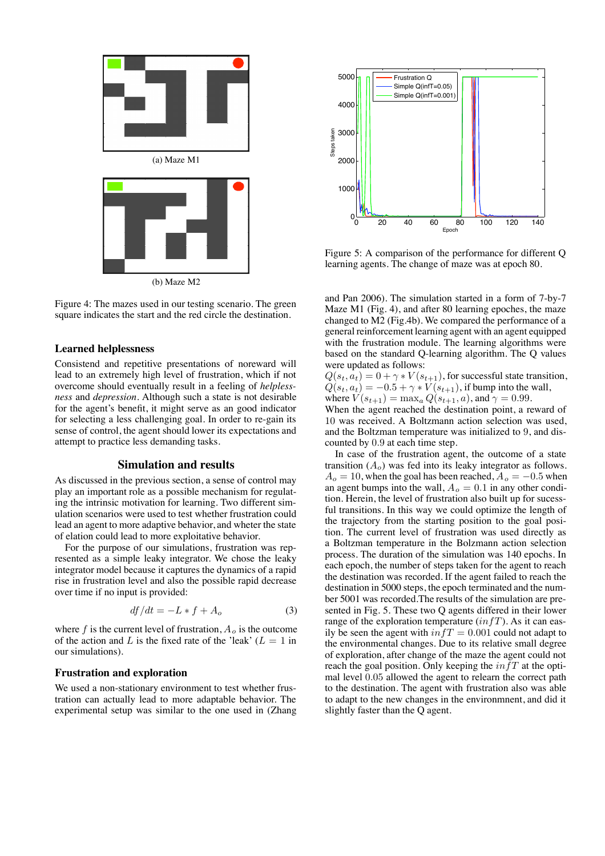

Figure 4: The mazes used in our testing scenario. The green square indicates the start and the red circle the destination.

### **Learned helplessness**

Consistend and repetitive presentations of noreward will lead to an extremely high level of frustration, which if not overcome should eventually result in a feeling of *helplessness* and *depression*. Although such a state is not desirable for the agent's benefit, it might serve as an good indicator for selecting a less challenging goal. In order to re-gain its sense of control, the agent should lower its expectations and attempt to practice less demanding tasks.

#### **Simulation and results**

As discussed in the previous section, a sense of control may play an important role as a possible mechanism for regulating the intrinsic motivation for learning. Two different simulation scenarios were used to test whether frustration could lead an agent to more adaptive behavior, and wheter the state of elation could lead to more exploitative behavior.

For the purpose of our simulations, frustration was represented as a simple leaky integrator. We chose the leaky integrator model because it captures the dynamics of a rapid rise in frustration level and also the possible rapid decrease over time if no input is provided:

$$
df/dt = -L * f + A_o \tag{3}
$$

where f is the current level of frustration,  $A_o$  is the outcome of the action and L is the fixed rate of the 'leak'  $(L = 1$  in our simulations).

#### **Frustration and exploration**

We used a non-stationary environment to test whether frustration can actually lead to more adaptable behavior. The experimental setup was similar to the one used in (Zhang



Figure 5: A comparison of the performance for different Q learning agents. The change of maze was at epoch 80.

and Pan 2006). The simulation started in a form of 7-by-7 Maze M1 (Fig. 4), and after 80 learning epoches, the maze changed to M2 (Fig.4b). We compared the performance of a general reinforcement learning agent with an agent equipped with the frustration module. The learning algorithms were based on the standard Q-learning algorithm. The Q values were updated as follows:

 $Q(s_t, a_t) = 0 + \gamma * V(s_{t+1})$ , for successful state transition,  $Q(s_t, a_t) = -0.5 + \gamma * V(s_{t+1}),$  if bump into the wall, where  $V(s_{t+1}) = \max_{a} Q(s_{t+1}, a)$ , and  $\gamma = 0.99$ .

When the agent reached the destination point, a reward of 10 was received. A Boltzmann action selection was used, and the Boltzman temperature was initialized to 9, and discounted by 0.9 at each time step.

In case of the frustration agent, the outcome of a state transition  $(A<sub>o</sub>)$  was fed into its leaky integrator as follows.  $A<sub>o</sub> = 10$ , when the goal has been reached,  $A<sub>o</sub> = -0.5$  when an agent bumps into the wall,  $A<sub>o</sub> = 0.1$  in any other condition. Herein, the level of frustration also built up for sucessful transitions. In this way we could optimize the length of the trajectory from the starting position to the goal position. The current level of frustration was used directly as a Boltzman temperature in the Bolzmann action selection process. The duration of the simulation was 140 epochs. In each epoch, the number of steps taken for the agent to reach the destination was recorded. If the agent failed to reach the destination in 5000 steps, the epoch terminated and the number 5001 was recorded.The results of the simulation are presented in Fig. 5. These two Q agents differed in their lower range of the exploration temperature  $(in fT)$ . As it can easily be seen the agent with  $\inf T = 0.001$  could not adapt to the environmental changes. Due to its relative small degree of exploration, after change of the maze the agent could not reach the goal position. Only keeping the  $\inf T$  at the optimal level 0.05 allowed the agent to relearn the correct path to the destination. The agent with frustration also was able to adapt to the new changes in the environmnent, and did it slightly faster than the Q agent.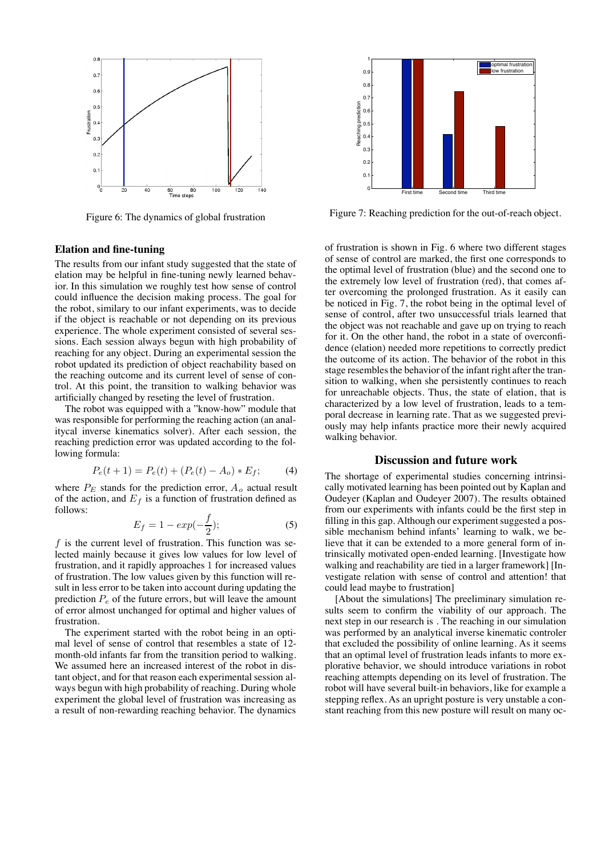

Figure 6: The dynamics of global frustration

## **Elation and fine-tuning**

The results from our infant study suggested that the state of elation may be helpful in fine-tuning newly learned behavior. In this simulation we roughly test how sense of control could influence the decision making process. The goal for the robot, similary to our infant experiments, was to decide if the object is reachable or not depending on its previous experience. The whole experiment consisted of several sessions. Each session always begun with high probability of reaching for any object. During an experimental session the robot updated its prediction of object reachability based on the reaching outcome and its current level of sense of control. At this point, the transition to walking behavior was artificially changed by reseting the level of frustration.

The robot was equipped with a "know-how" module that was responsible for performing the reaching action (an analitycal inverse kinematics solver). After each session, the reaching prediction error was updated according to the following formula:

$$
P_e(t+1) = P_e(t) + (P_e(t) - A_o) * E_f;
$$
 (4)

where  $P_E$  stands for the prediction error,  $A_o$  actual result of the action, and  $E_f$  is a function of frustration defined as follows:

$$
E_f = 1 - exp(-\frac{f}{2});
$$
\n(5)

f is the current level of frustration. This function was selected mainly because it gives low values for low level of frustration, and it rapidly approaches 1 for increased values of frustration. The low values given by this function will result in less error to be taken into account during updating the prediction  $P_e$  of the future errors, but will leave the amount of error almost unchanged for optimal and higher values of frustration.

The experiment started with the robot being in an optimal level of sense of control that resembles a state of 12 month-old infants far from the transition period to walking. We assumed here an increased interest of the robot in distant object, and for that reason each experimental session always begun with high probability of reaching. During whole experiment the global level of frustration was increasing as a result of non-rewarding reaching behavior. The dynamics



Figure 7: Reaching prediction for the out-of-reach object.

of frustration is shown in Fig. 6 where two different stages of sense of control are marked, the first one corresponds to the optimal level of frustration (blue) and the second one to the extremely low level of frustration (red), that comes after overcoming the prolonged frustration. As it easily can be noticed in Fig. 7, the robot being in the optimal level of sense of control, after two unsuccessful trials learned that the object was not reachable and gave up on trying to reach for it. On the other hand, the robot in a state of overconfidence (elation) needed more repetitions to correctly predict the outcome of its action. The behavior of the robot in this stage resembles the behavior of the infant right after the transition to walking, when she persistently continues to reach for unreachable objects. Thus, the state of elation, that is characterized by a low level of frustration, leads to a temporal decrease in learning rate. That as we suggested previously may help infants practice more their newly acquired walking behavior.

## **Discussion and future work**

The shortage of experimental studies concerning intrinsically motivated learning has been pointed out by Kaplan and Oudeyer (Kaplan and Oudeyer 2007). The results obtained from our experiments with infants could be the first step in filling in this gap. Although our experiment suggested a possible mechanism behind infants' learning to walk, we believe that it can be extended to a more general form of intrinsically motivated open-ended learning. [Investigate how walking and reachability are tied in a larger framework] [Investigate relation with sense of control and attention! that could lead maybe to frustration]

[About the simulations] The preeliminary simulation results seem to confirm the viability of our approach. The next step in our research is . The reaching in our simulation was performed by an analytical inverse kinematic controler that excluded the possibility of online learning. As it seems that an optimal level of frustration leads infants to more explorative behavior, we should introduce variations in robot reaching attempts depending on its level of frustration. The robot will have several built-in behaviors, like for example a stepping reflex. As an upright posture is very unstable a constant reaching from this new posture will result on many oc